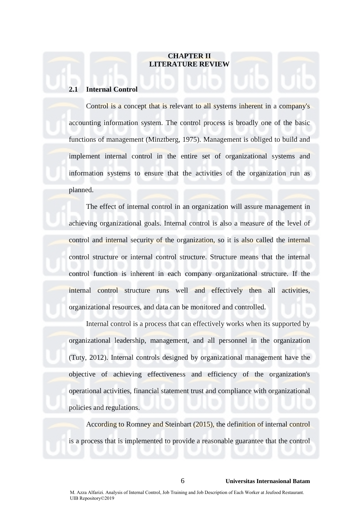# **CHAPTER II LITERATURE REVIEW**

## **2.1 Internal Control**

Control is a concept that is relevant to all systems inherent in a company's accounting information system. The control process is broadly one of the basic functions of management (Minztberg, 1975). Management is obliged to build and implement internal control in the entire set of organizational systems and information systems to ensure that the activities of the organization run as planned.

The effect of internal control in an organization will assure management in achieving organizational goals. Internal control is also a measure of the level of control and internal security of the organization, so it is also called the internal control structure or internal control structure. Structure means that the internal control function is inherent in each company organizational structure. If the internal control structure runs well and effectively then all activities, organizational resources, and data can be monitored and controlled.

Internal control is a process that can effectively works when its supported by organizational leadership, management, and all personnel in the organization (Tuty, 2012). Internal controls designed by organizational management have the objective of achieving effectiveness and efficiency of the organization's operational activities, financial statement trust and compliance with organizational policies and regulations.

 According to Romney and Steinbart (2015), the definition of internal control is a process that is implemented to provide a reasonable guarantee that the control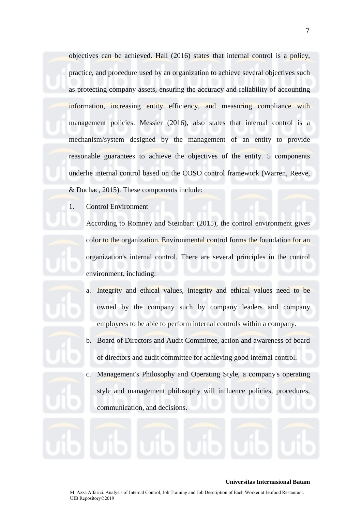objectives can be achieved. Hall (2016) states that internal control is a policy, practice, and procedure used by an organization to achieve several objectives such as protecting company assets, ensuring the accuracy and reliability of accounting information, increasing entity efficiency, and measuring compliance with management policies. Messier (2016), also states that internal control is a mechanism/system designed by the management of an entity to provide reasonable guarantees to achieve the objectives of the entity. 5 components underlie internal control based on the COSO control framework (Warren, Reeve, & Duchac, 2015). These components include:

1. Control Environment

According to Romney and Steinbart (2015), the control environment gives color to the organization. Environmental control forms the foundation for an organization's internal control. There are several principles in the control environment, including:

- a. Integrity and ethical values, integrity and ethical values need to be owned by the company such by company leaders and company employees to be able to perform internal controls within a company.
- b. Board of Directors and Audit Committee, action and awareness of board of directors and audit committee for achieving good internal control.
- c. Management's Philosophy and Operating Style, a company's operating style and management philosophy will influence policies, procedures, communication, and decisions.

#### **Universitas Internasional Batam**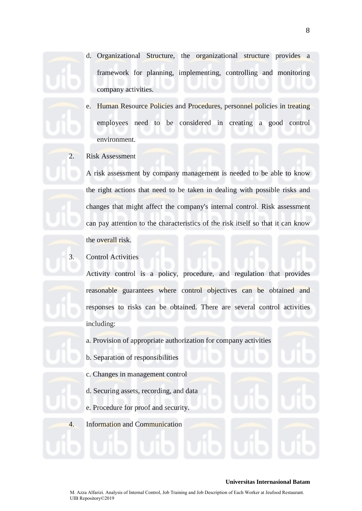- d. Organizational Structure, the organizational structure provides a framework for planning, implementing, controlling and monitoring company activities.
- e. Human Resource Policies and Procedures, personnel policies in treating employees need to be considered in creating a good control environment.
- 2. Risk Assessment

A risk assessment by company management is needed to be able to know the right actions that need to be taken in dealing with possible risks and changes that might affect the company's internal control. Risk assessment can pay attention to the characteristics of the risk itself so that it can know the overall risk.

3. Control Activities

Activity control is a policy, procedure, and regulation that provides reasonable guarantees where control objectives can be obtained and responses to risks can be obtained. There are several control activities including:

a. Provision of appropriate authorization for company activities

- b. Separation of responsibilities
- c. Changes in management control
- d. Securing assets, recording, and data
- e. Procedure for proof and security.
- 4. Information and Communication

#### **Universitas Internasional Batam**

M. Azza Alfarizi. Analysis of Internal Control, Job Training and Job Description of Each Worker at Jeufood Restaurant. UIB Repository©2019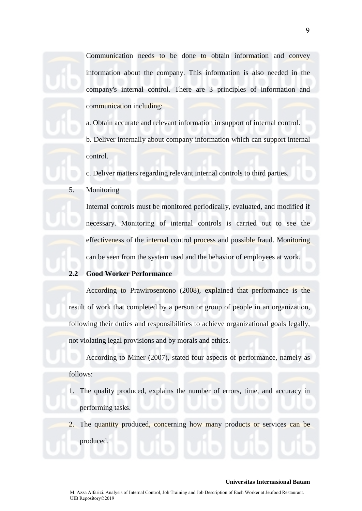Communication needs to be done to obtain information and convey information about the company. This information is also needed in the company's internal control. There are 3 principles of information and communication including:

a. Obtain accurate and relevant information in support of internal control.

b. Deliver internally about company information which can support internal control.

c. Deliver matters regarding relevant internal controls to third parties.

5. Monitoring

Internal controls must be monitored periodically, evaluated, and modified if necessary. Monitoring of internal controls is carried out to see the effectiveness of the internal control process and possible fraud. Monitoring can be seen from the system used and the behavior of employees at work.

# **2.2 Good Worker Performance**

According to Prawirosentono (2008), explained that performance is the result of work that completed by a person or group of people in an organization, following their duties and responsibilities to achieve organizational goals legally, not violating legal provisions and by morals and ethics.

According to Miner (2007), stated four aspects of performance, namely as follows:

- 1. The quality produced, explains the number of errors, time, and accuracy in performing tasks.
- 2. The quantity produced, concerning how many products or services can be produced.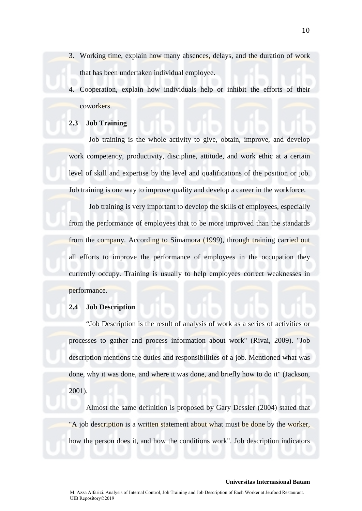- 3. Working time, explain how many absences, delays, and the duration of work that has been undertaken individual employee.
- 4. Cooperation, explain how individuals help or inhibit the efforts of their coworkers.

# **2.3 Job Training**

Job training is the whole activity to give, obtain, improve, and develop work competency, productivity, discipline, attitude, and work ethic at a certain level of skill and expertise by the level and qualifications of the position or job. Job training is one way to improve quality and develop a career in the workforce.

Job training is very important to develop the skills of employees, especially from the performance of employees that to be more improved than the standards from the company. According to Simamora (1999), through training carried out all efforts to improve the performance of employees in the occupation they currently occupy. Training is usually to help employees correct weaknesses in performance.

## **2.4 Job Description**

"Job Description is the result of analysis of work as a series of activities or processes to gather and process information about work" (Rivai, 2009). "Job description mentions the duties and responsibilities of a job. Mentioned what was done, why it was done, and where it was done, and briefly how to do it" (Jackson, 2001).

Almost the same definition is proposed by Gary Dessler (2004) stated that "A job description is a written statement about what must be done by the worker, how the person does it, and how the conditions work". Job description indicators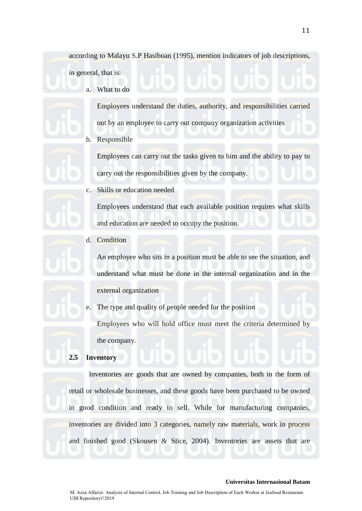according to Malayu S.P Hasibuan (1995), mention indicators of job descriptions, in general, that is:

a. What to do

Employees understand the duties, authority, and responsibilities carried out by an employee to carry out company organization activities

b. Responsible

Employees can carry out the tasks given to him and the ability to pay to carry out the responsibilities given by the company.

c. Skills or education needed

Employees understand that each available position requires what skills and education are needed to occupy the position.

d. Condition

An employee who sits in a position must be able to see the situation, and understand what must be done in the internal organization and in the external organization

e. The type and quality of people needed for the position Employees who will hold office must meet the criteria determined by the company.

### **2.5 Inventory**

Inventories are goods that are owned by companies, both in the form of retail or wholesale businesses, and these goods have been purchased to be owned in good condition and ready to sell. While for manufacturing companies, inventories are divided into 3 categories, namely raw materials, work in process and finished good (Skousen & Stice, 2004). Inventories are assets that are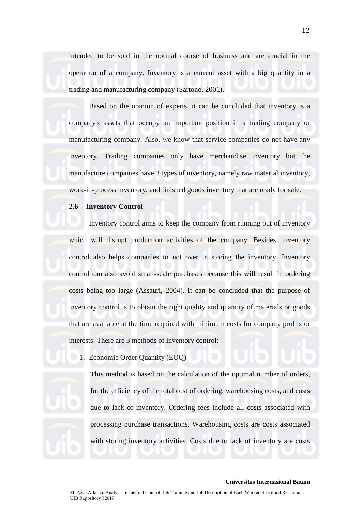intended to be sold in the normal course of business and are crucial in the operation of a company. Inventory is a current asset with a big quantity in a trading and manufacturing company (Sartono, 2001).

Based on the opinion of experts, it can be concluded that inventory is a company's assets that occupy an important position in a trading company or manufacturing company. Also, we know that service companies do not have any inventory. Trading companies only have merchandise inventory but the manufacture companies have 3 types of inventory, namely raw material inventory, work-in-process inventory, and finished goods inventory that are ready for sale.

#### **2.6 Inventory Control**

Inventory control aims to keep the company from running out of inventory which will disrupt production activities of the company. Besides, inventory control also helps companies to not over in storing the inventory. Inventory control can also avoid small-scale purchases because this will result in ordering costs being too large (Assauri, 2004). It can be concluded that the purpose of inventory control is to obtain the right quality and quantity of materials or goods that are available at the time required with minimum costs for company profits or interests. There are 3 methods of inventory control:

1. Economic Order Quantity (EOQ)

This method is based on the calculation of the optimal number of orders, for the efficiency of the total cost of ordering, warehousing costs, and costs due to lack of inventory. Ordering fees include all costs associated with processing purchase transactions. Warehousing costs are costs associated with storing inventory activities. Costs due to lack of inventory are costs